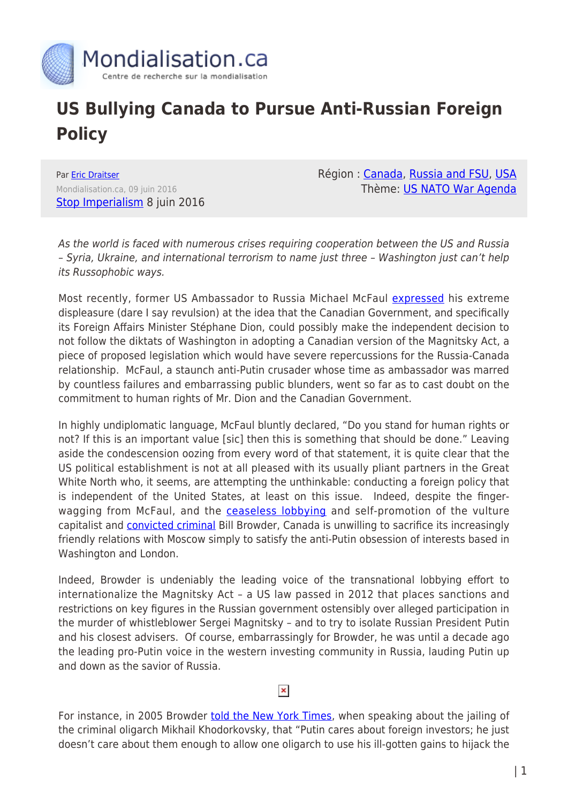

## **US Bullying Canada to Pursue Anti-Russian Foreign Policy**

Par [Eric Draitser](https://www.mondialisation.ca/author/eric-draitser) Mondialisation.ca, 09 juin 2016 [Stop Imperialism](http://stopimperialism.org/us-bullying-canada-pursue-anti-russian-foreign-policy/) 8 juin 2016 Région : [Canada](https://www.mondialisation.ca/region/canada), [Russia and FSU,](https://www.mondialisation.ca/region/russia-and-fsu) [USA](https://www.mondialisation.ca/region/usa) Thème: [US NATO War Agenda](https://www.mondialisation.ca/theme/us-nato-war-agenda)

As the world is faced with numerous crises requiring cooperation between the US and Russia – Syria, Ukraine, and international terrorism to name just three – Washington just can't help its Russophobic ways.

Most recently, former US Ambassador to Russia Michael McFaul [expressed](http://www.theglobeandmail.com/news/politics/former-us-diplomat-criticizes-canadas-weakness-on-russia/article30123089/) his extreme displeasure (dare I say revulsion) at the idea that the Canadian Government, and specifically its Foreign Affairs Minister Stéphane Dion, could possibly make the independent decision to not follow the diktats of Washington in adopting a Canadian version of the Magnitsky Act, a piece of proposed legislation which would have severe repercussions for the Russia-Canada relationship. McFaul, a staunch anti-Putin crusader whose time as ambassador was marred by countless failures and embarrassing public blunders, went so far as to cast doubt on the commitment to human rights of Mr. Dion and the Canadian Government.

In highly undiplomatic language, McFaul bluntly declared, "Do you stand for human rights or not? If this is an important value [sic] then this is something that should be done." Leaving aside the condescension oozing from every word of that statement, it is quite clear that the US political establishment is not at all pleased with its usually pliant partners in the Great White North who, it seems, are attempting the unthinkable: conducting a foreign policy that is independent of the United States, at least on this issue. Indeed, despite the fingerwagging from McFaul, and the **ceaseless lobbying** and self-promotion of the vulture capitalist and **[convicted criminal](http://rbth.com/news/2015/12/25/source-new-criminal-case-opened-against-william-browder-in-russia_554883)** Bill Browder, Canada is unwilling to sacrifice its increasingly friendly relations with Moscow simply to satisfy the anti-Putin obsession of interests based in Washington and London.

Indeed, Browder is undeniably the leading voice of the transnational lobbying effort to internationalize the Magnitsky Act – a US law passed in 2012 that places sanctions and restrictions on key figures in the Russian government ostensibly over alleged participation in the murder of whistleblower Sergei Magnitsky – and to try to isolate Russian President Putin and his closest advisers. Of course, embarrassingly for Browder, he was until a decade ago the leading pro-Putin voice in the western investing community in Russia, lauding Putin up and down as the savior of Russia.

## $\pmb{\times}$

For instance, in 2005 Browder [told the New York Times,](http://www.nytimes.com/2005/06/12/business/yourmoney/the-russia-house-after-the-oligarchs.html) when speaking about the jailing of the criminal oligarch Mikhail Khodorkovsky, that "Putin cares about foreign investors; he just doesn't care about them enough to allow one oligarch to use his ill-gotten gains to hijack the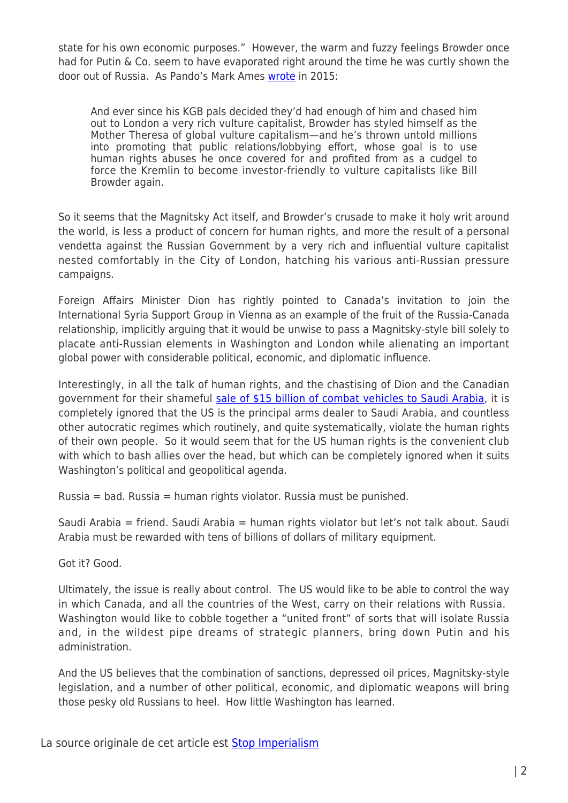state for his own economic purposes." However, the warm and fuzzy feelings Browder once had for Putin & Co. seem to have evaporated right around the time he was curtly shown the door out of Russia. As Pando's Mark Ames [wrote](https://pando.com/2015/05/17/neocons-2-0-the-problem-with-peter-pomerantsev/) in 2015:

And ever since his KGB pals decided they'd had enough of him and chased him out to London a very rich vulture capitalist, Browder has styled himself as the Mother Theresa of global vulture capitalism—and he's thrown untold millions into promoting that public relations/lobbying effort, whose goal is to use human rights abuses he once covered for and profited from as a cudgel to force the Kremlin to become investor-friendly to vulture capitalists like Bill Browder again.

So it seems that the Magnitsky Act itself, and Browder's crusade to make it holy writ around the world, is less a product of concern for human rights, and more the result of a personal vendetta against the Russian Government by a very rich and influential vulture capitalist nested comfortably in the City of London, hatching his various anti-Russian pressure campaigns.

Foreign Affairs Minister Dion has rightly pointed to Canada's invitation to join the International Syria Support Group in Vienna as an example of the fruit of the Russia-Canada relationship, implicitly arguing that it would be unwise to pass a Magnitsky-style bill solely to placate anti-Russian elements in Washington and London while alienating an important global power with considerable political, economic, and diplomatic influence.

Interestingly, in all the talk of human rights, and the chastising of Dion and the Canadian government for their shameful [sale of \\$15 billion of combat vehicles to Saudi Arabia,](http://www.theglobeandmail.com/news/politics/the-saudi-arms-deal-what-weve-learned-so-far/article28180299/) it is completely ignored that the US is the principal arms dealer to Saudi Arabia, and countless other autocratic regimes which routinely, and quite systematically, violate the human rights of their own people. So it would seem that for the US human rights is the convenient club with which to bash allies over the head, but which can be completely ignored when it suits Washington's political and geopolitical agenda.

Russia = bad. Russia = human rights violator. Russia must be punished.

Saudi Arabia = friend. Saudi Arabia = human rights violator but let's not talk about. Saudi Arabia must be rewarded with tens of billions of dollars of military equipment.

Got it? Good.

Ultimately, the issue is really about control. The US would like to be able to control the way in which Canada, and all the countries of the West, carry on their relations with Russia. Washington would like to cobble together a "united front" of sorts that will isolate Russia and, in the wildest pipe dreams of strategic planners, bring down Putin and his administration.

And the US believes that the combination of sanctions, depressed oil prices, Magnitsky-style legislation, and a number of other political, economic, and diplomatic weapons will bring those pesky old Russians to heel. How little Washington has learned.

La source originale de cet article est **[Stop Imperialism](http://stopimperialism.org/us-bullying-canada-pursue-anti-russian-foreign-policy/)**